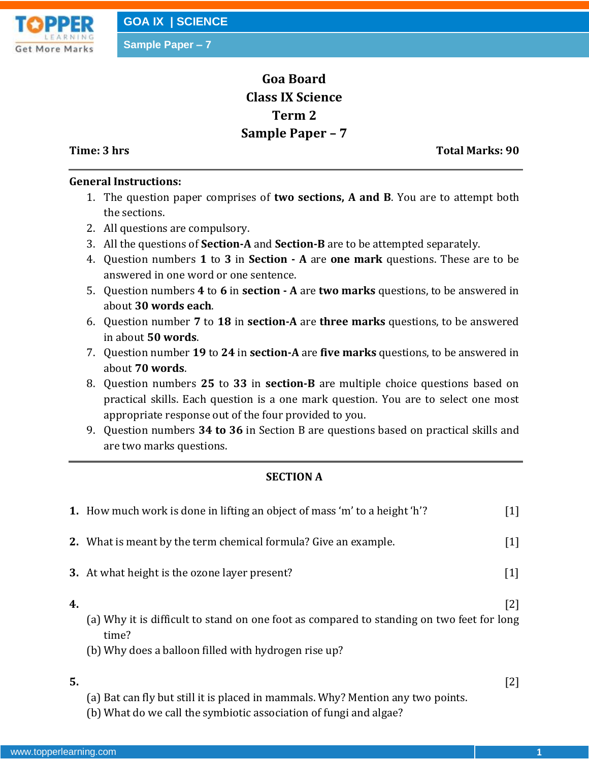**Sample Paper – 7**



# **Goa Board Class IX Science Term 2 Sample Paper – 7**

**Time: 3 hrs Total Marks: 90**

## **General Instructions:**

- 1. The question paper comprises of **two sections, A and B**. You are to attempt both the sections.
- 2. All questions are compulsory.
- 3. All the questions of **Section-A** and **Section-B** are to be attempted separately.
- 4. Question numbers **1** to **3** in **Section - A** are **one mark** questions. These are to be answered in one word or one sentence.
- 5. Question numbers **4** to **6** in **section - A** are **two marks** questions, to be answered in about **30 words each**.
- 6. Question number **7** to **18** in **section-A** are **three marks** questions, to be answered in about **50 words**.
- 7. Question number **19** to **24** in **section-A** are **five marks** questions, to be answered in about **70 words**.
- 8. Question numbers **25** to **33** in **section-B** are multiple choice questions based on practical skills. Each question is a one mark question. You are to select one most appropriate response out of the four provided to you.
- 9. Question numbers **34 to 36** in Section B are questions based on practical skills and are two marks questions.

## **SECTION A**

|    | 1. How much work is done in lifting an object of mass 'm' to a height 'h'?                                                                                 | $\lceil 1 \rceil$ |
|----|------------------------------------------------------------------------------------------------------------------------------------------------------------|-------------------|
|    | <b>2.</b> What is meant by the term chemical formula? Give an example.                                                                                     | $\lceil 1 \rceil$ |
|    | 3. At what height is the ozone layer present?                                                                                                              | $\lceil 1 \rceil$ |
| 4. | (a) Why it is difficult to stand on one foot as compared to standing on two feet for long<br>time?<br>(b) Why does a balloon filled with hydrogen rise up? | $\lceil 2 \rceil$ |
| 5. | (a) Bat can fly but still it is placed in mammals. Why? Mention any two points.                                                                            | $\lceil 2 \rceil$ |

(b) What do we call the symbiotic association of fungi and algae?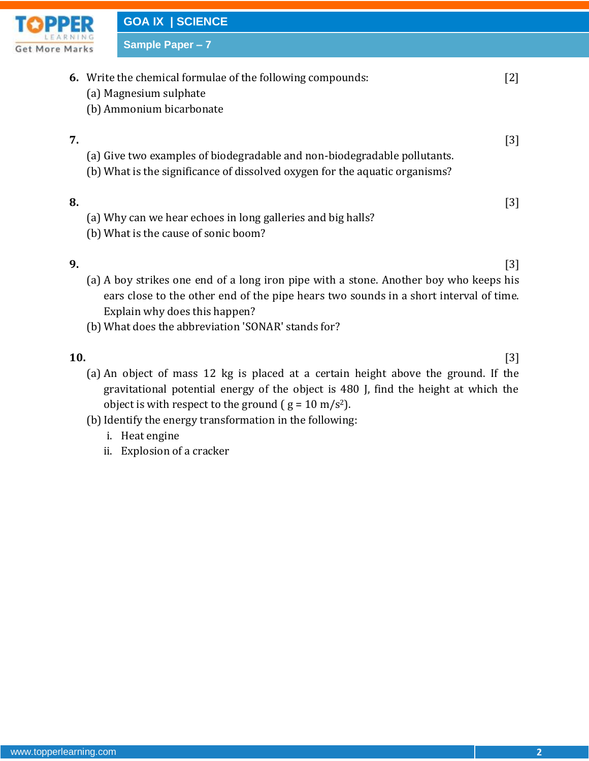

**Sample Paper – 7**

| Marks | $varipic   qbc  = r$                                                                                                                                    |     |
|-------|---------------------------------------------------------------------------------------------------------------------------------------------------------|-----|
|       | <b>6.</b> Write the chemical formulae of the following compounds:<br>(a) Magnesium sulphate<br>(b) Ammonium bicarbonate                                 | [2] |
| 7.    | (a) Give two examples of biodegradable and non-biodegradable pollutants.<br>(b) What is the significance of dissolved oxygen for the aquatic organisms? | [3] |
| 8.    | (a) Why can we hear echoes in long galleries and big halls?<br>(b) What is the cause of sonic boom?                                                     | 131 |
| 9.    |                                                                                                                                                         | [3] |

- (a) A boy strikes one end of a long iron pipe with a stone. Another boy who keeps his ears close to the other end of the pipe hears two sounds in a short interval of time. Explain why does this happen?
- (b) What does the abbreviation 'SONAR' stands for?

**10.** [3]

- (a) An object of mass 12 kg is placed at a certain height above the ground. If the gravitational potential energy of the object is 480 J, find the height at which the object is with respect to the ground  $(g = 10 \text{ m/s}^2)$ .
- (b) Identify the energy transformation in the following:
	- i. Heat engine
	- ii. Explosion of a cracker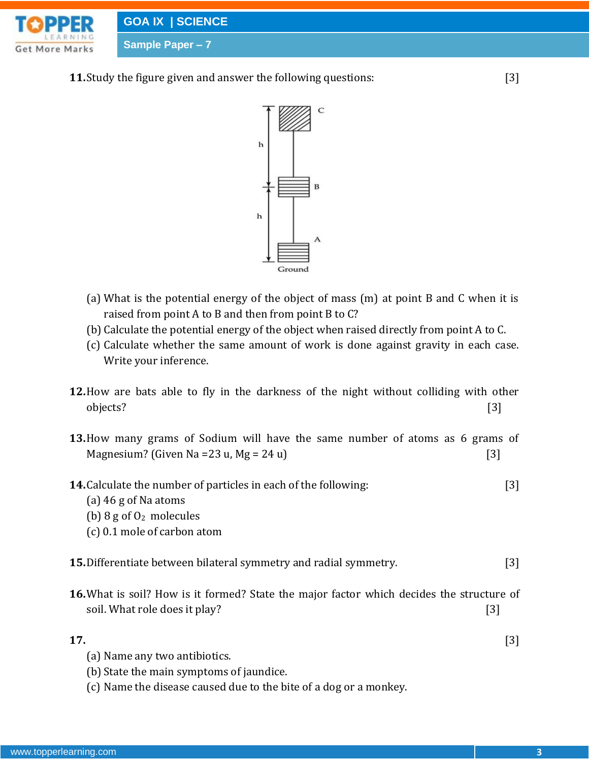

**11.**Study the figure given and answer the following questions: [3]



- (a) What is the potential energy of the object of mass (m) at point B and C when it is raised from point A to B and then from point B to C?
- (b) Calculate the potential energy of the object when raised directly from point A to C.
- (c) Calculate whether the same amount of work is done against gravity in each case. Write your inference.
- **12.**How are bats able to fly in the darkness of the night without colliding with other objects? [3]
- **13.**How many grams of Sodium will have the same number of atoms as 6 grams of Magnesium? (Given Na =  $23 u$ , Mg =  $24 u$ ) [3]
- **14.**Calculate the number of particles in each of the following: [3]
	- (a) 46 g of Na atoms
	- (b)  $8 \text{ g of } 0_2$  molecules
	- (c) 0.1 mole of carbon atom
- **15.**Differentiate between bilateral symmetry and radial symmetry. [3]
- **16.**What is soil? How is it formed? State the major factor which decides the structure of soil. What role does it play? [3]
- **17.** [3] (a) Name any two antibiotics.
	- (b) State the main symptoms of jaundice.
	- (c) Name the disease caused due to the bite of a dog or a monkey.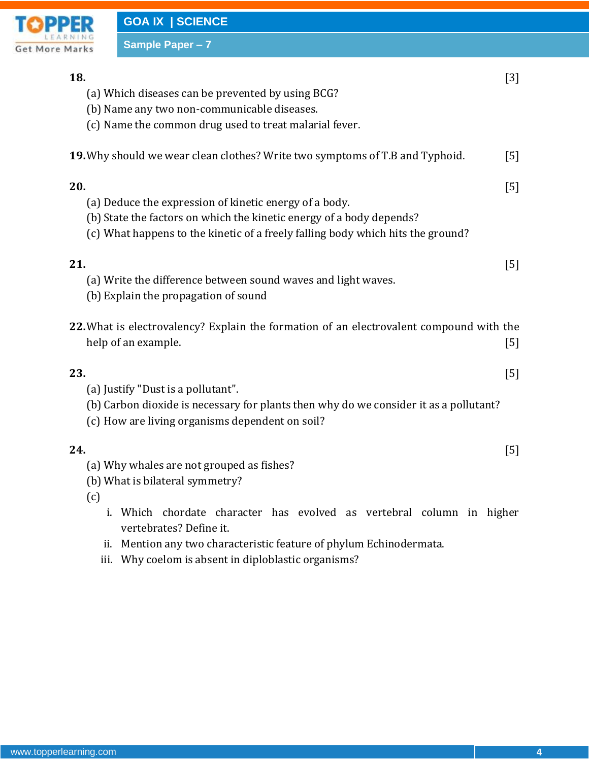

# **Sample Paper – 7 18.** [3] (a) Which diseases can be prevented by using BCG? (b) Name any two non-communicable diseases. (c) Name the common drug used to treat malarial fever. **19.** Why should we wear clean clothes? Write two symptoms of T.B and Typhoid. [5] **20.** [5] (a) Deduce the expression of kinetic energy of a body. (b) State the factors on which the kinetic energy of a body depends? (c) What happens to the kinetic of a freely falling body which hits the ground? **21.** [5] (a) Write the difference between sound waves and light waves. (b) Explain the propagation of sound **22.**What is electrovalency? Explain the formation of an electrovalent compound with the help of an example. [5] **23.** [5] (a) Justify "Dust is a pollutant". (b) Carbon dioxide is necessary for plants then why do we consider it as a pollutant? (c) How are living organisms dependent on soil? **24.** [5] (a) Why whales are not grouped as fishes? (b) What is bilateral symmetry? (c) i. Which chordate character has evolved as vertebral column in higher vertebrates? Define it. ii. Mention any two characteristic feature of phylum Echinodermata.

iii. Why coelom is absent in diploblastic organisms?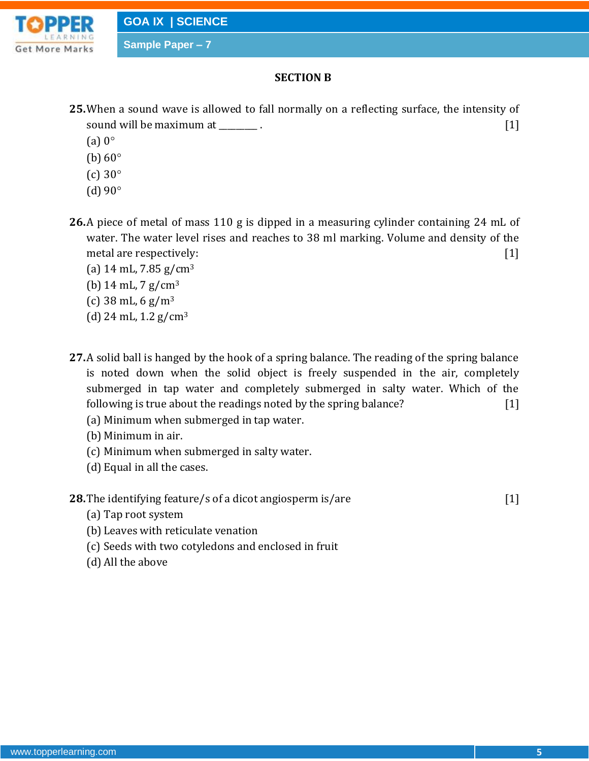

**Sample Paper – 7**

## **SECTION B**

- **25.**When a sound wave is allowed to fall normally on a reflecting surface, the intensity of sound will be maximum at \_\_\_\_\_\_\_\_\_.
	- (a)  $0^\circ$
	- (b)  $60^\circ$
	- (c)  $30^\circ$
	- (d)  $90^\circ$
- **26.**A piece of metal of mass 110 g is dipped in a measuring cylinder containing 24 mL of water. The water level rises and reaches to 38 ml marking. Volume and density of the metal are respectively: [1]
	- (a)  $14 \text{ mL}$ ,  $7.85 \text{ g/cm}^3$
	- (b)  $14 \text{ mL}$ ,  $7 \text{ g/cm}^3$
	- (c)  $38 \text{ mL}$ ,  $6 \text{ g/m}^3$
	- (d) 24 mL,  $1.2$  g/cm<sup>3</sup>
- **27.**A solid ball is hanged by the hook of a spring balance. The reading of the spring balance is noted down when the solid object is freely suspended in the air, completely submerged in tap water and completely submerged in salty water. Which of the following is true about the readings noted by the spring balance? [1]
	- (a) Minimum when submerged in tap water.
	- (b) Minimum in air.
	- (c) Minimum when submerged in salty water.
	- (d) Equal in all the cases.
- **28.** The identifying feature/s of a dicot angiosperm is/are [1]

- (a) Tap root system
- (b) Leaves with reticulate venation
- (c) Seeds with two cotyledons and enclosed in fruit
- (d) All the above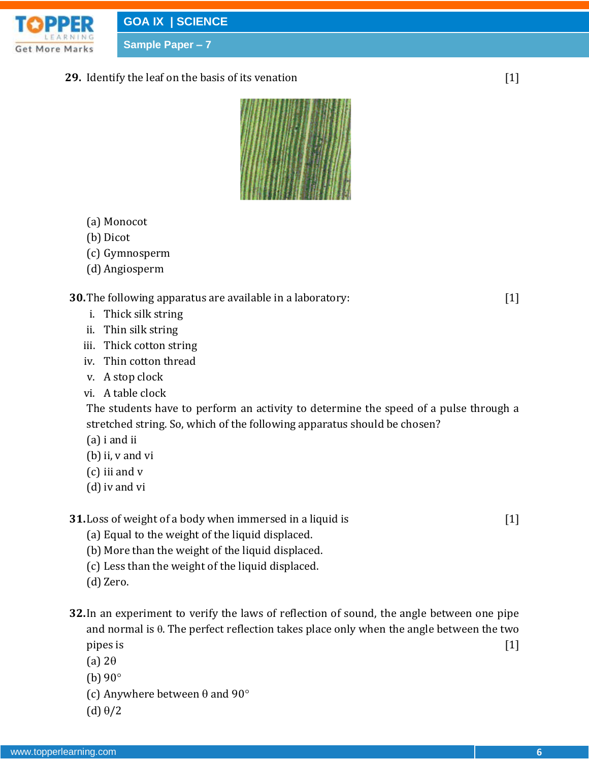

**Sample Paper – 7**

**29.** Identify the leaf on the basis of its venation [1]



- (a) Monocot
- (b) Dicot
- (c) Gymnosperm
- (d) Angiosperm

### **30.**The following apparatus are available in a laboratory: [1]

- i. Thick silk string
- ii. Thin silk string
- iii. Thick cotton string
- iv. Thin cotton thread
- v. A stop clock
- vi. A table clock

The students have to perform an activity to determine the speed of a pulse through a stretched string. So, which of the following apparatus should be chosen?

- (a) i and ii
- (b) ii, v and vi
- (c) iii and v
- (d)iv and vi

**31.** Loss of weight of a body when immersed in a liquid is [1]

- (a) Equal to the weight of the liquid displaced.
- (b) More than the weight of the liquid displaced.
- (c) Less than the weight of the liquid displaced.
- (d) Zero.
- **32.**In an experiment to verify the laws of reflection of sound, the angle between one pipe and normal is  $\theta$ . The perfect reflection takes place only when the angle between the two pipes is  $[1]$ 
	- (a)  $2\theta$
	- (b)  $90^\circ$
	- (c) Anywhere between  $\theta$  and  $90^{\circ}$
	- (d)  $\theta/2$